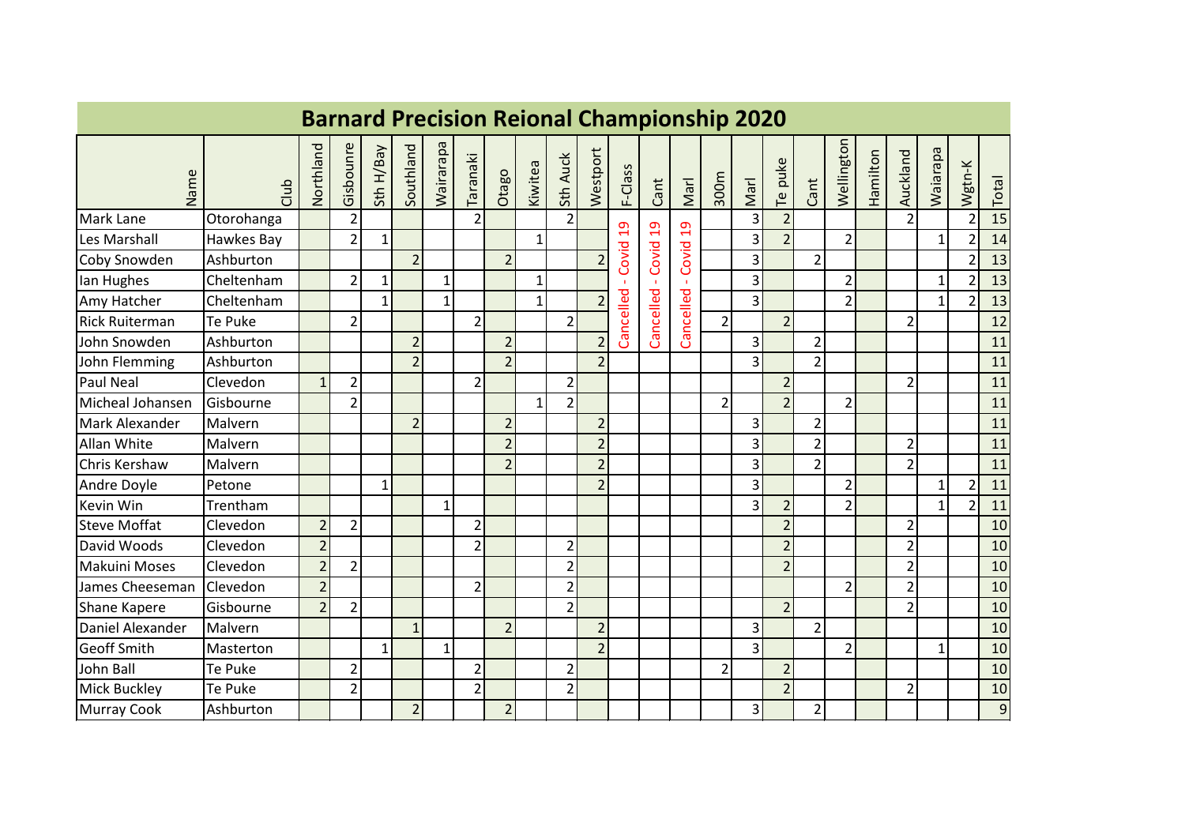|                       |            |                |                |              |                |              |                |                |              |                |                |                | <b>Barnard Precision Reional Championship 2020</b> |                |                |                |                |                |                          |          |                |              |                |       |
|-----------------------|------------|----------------|----------------|--------------|----------------|--------------|----------------|----------------|--------------|----------------|----------------|----------------|----------------------------------------------------|----------------|----------------|----------------|----------------|----------------|--------------------------|----------|----------------|--------------|----------------|-------|
| Name                  | dub        | Northland      | Gisbounre      | Sth H/Bay    | Southland      | Mairarapa    | Taranaki       | Otago          | Kiwitea      | Sth Auck       | Westport       | F-Class        | Cant                                               | Marl           | 300m           | Marl           | Te puke        | Cant           | Wellington               | Hamilton | Auckland       | Waiarapa     | Wgtn-K         | Total |
| Mark Lane             | Otorohanga |                | $\overline{2}$ |              |                |              | $\overline{2}$ |                |              | $\overline{2}$ |                | $\overline{a}$ |                                                    | $\overline{c}$ |                | 3              | $\overline{2}$ |                |                          |          | $\overline{2}$ |              | $\overline{2}$ | 15    |
| Les Marshall          | Hawkes Bay |                | $\overline{2}$ | $\mathbf{1}$ |                |              |                |                | $\mathbf{1}$ |                |                |                | -Covid 19                                          |                |                | $\overline{3}$ | $\overline{2}$ |                | $\overline{2}$           |          |                | $\mathbf{1}$ | $\overline{2}$ | 14    |
| Coby Snowden          | Ashburton  |                |                |              | $\overline{2}$ |              |                | $\overline{2}$ |              |                | $\overline{2}$ | Covid          |                                                    | Covid          |                | 3              |                | $\overline{2}$ |                          |          |                |              | $\overline{2}$ | 13    |
| lan Hughes            | Cheltenham |                | $\overline{2}$ | $\mathbf{1}$ |                | $\mathbf{1}$ |                |                | $\mathbf{1}$ |                |                |                |                                                    |                |                | 3              |                |                | $\overline{2}$           |          |                | $\mathbf{1}$ | $\overline{2}$ | 13    |
| Amy Hatcher           | Cheltenham |                |                | $\mathbf{1}$ |                | $\mathbf{1}$ |                |                | $\mathbf{1}$ |                | $\overline{2}$ | Cancelled      | Cancelled                                          | Cancelled      |                | 3              |                |                | $\overline{\phantom{a}}$ |          |                | $1\vert$     | $\overline{2}$ | 13    |
| <b>Rick Ruiterman</b> | Te Puke    |                | $\overline{2}$ |              |                |              | $\overline{2}$ |                |              | $\overline{2}$ |                |                |                                                    |                | $\overline{2}$ |                | $\overline{2}$ |                |                          |          | $\overline{2}$ |              |                | 12    |
| John Snowden          | Ashburton  |                |                |              | $\overline{2}$ |              |                | $\overline{2}$ |              |                | $\overline{2}$ |                |                                                    |                |                | 3              |                | $\overline{2}$ |                          |          |                |              |                | 11    |
| John Flemming         | Ashburton  |                |                |              | $\overline{2}$ |              |                | $\overline{2}$ |              |                | $\overline{2}$ |                |                                                    |                |                | 3              |                | $\overline{2}$ |                          |          |                |              |                | 11    |
| Paul Neal             | Clevedon   | 1              | $\overline{2}$ |              |                |              | $\overline{2}$ |                |              | $\overline{2}$ |                |                |                                                    |                |                |                | $\overline{2}$ |                |                          |          | $\overline{2}$ |              |                | 11    |
| Micheal Johansen      | Gisbourne  |                | $\overline{2}$ |              |                |              |                |                | $\mathbf{1}$ | 2 <sup>1</sup> |                |                |                                                    |                | $\overline{2}$ |                | $\overline{2}$ |                | $\overline{2}$           |          |                |              |                | 11    |
| Mark Alexander        | Malvern    |                |                |              | $\overline{2}$ |              |                | $\overline{2}$ |              |                | $\overline{2}$ |                |                                                    |                |                | 3              |                | $\overline{2}$ |                          |          |                |              |                | 11    |
| <b>Allan White</b>    | Malvern    |                |                |              |                |              |                | $\overline{2}$ |              |                | $\overline{2}$ |                |                                                    |                |                | 3              |                | $\overline{2}$ |                          |          | $\overline{2}$ |              |                | 11    |
| Chris Kershaw         | Malvern    |                |                |              |                |              |                | $\overline{2}$ |              |                | $\overline{2}$ |                |                                                    |                |                | 3              |                | $\overline{2}$ |                          |          | $\overline{2}$ |              |                | 11    |
| Andre Doyle           | Petone     |                |                | $\mathbf{1}$ |                |              |                |                |              |                | $\overline{2}$ |                |                                                    |                |                | $\overline{3}$ |                |                | $\overline{2}$           |          |                | 1            | $\overline{2}$ | 11    |
| Kevin Win             | Trentham   |                |                |              |                | $\mathbf{1}$ |                |                |              |                |                |                |                                                    |                |                | 3              | $\overline{2}$ |                | $\overline{2}$           |          |                | $1\vert$     | $\overline{2}$ | 11    |
| <b>Steve Moffat</b>   | Clevedon   | $\overline{2}$ | $\overline{2}$ |              |                |              | $\overline{2}$ |                |              |                |                |                |                                                    |                |                |                | $\overline{2}$ |                |                          |          | $\overline{2}$ |              |                | 10    |
| David Woods           | Clevedon   | $\overline{2}$ |                |              |                |              | $\overline{2}$ |                |              | $\overline{2}$ |                |                |                                                    |                |                |                | $\overline{2}$ |                |                          |          | $\overline{2}$ |              |                | 10    |
| <b>Makuini Moses</b>  | Clevedon   | $\overline{2}$ | $\overline{2}$ |              |                |              |                |                |              | $\overline{2}$ |                |                |                                                    |                |                |                | $\overline{2}$ |                |                          |          | $\overline{2}$ |              |                | 10    |
| James Cheeseman       | Clevedon   | $\overline{2}$ |                |              |                |              | $\overline{2}$ |                |              | $\overline{2}$ |                |                |                                                    |                |                |                |                |                | $\overline{\phantom{a}}$ |          | $\overline{2}$ |              |                | 10    |
| Shane Kapere          | Gisbourne  | $\overline{2}$ | $\overline{2}$ |              |                |              |                |                |              | $\overline{2}$ |                |                |                                                    |                |                |                | $\overline{2}$ |                |                          |          | $\overline{2}$ |              |                | 10    |
| Daniel Alexander      | Malvern    |                |                |              | $\mathbf{1}$   |              |                | $\overline{2}$ |              |                | $\overline{2}$ |                |                                                    |                |                | 3              |                | $\overline{2}$ |                          |          |                |              |                | 10    |
| <b>Geoff Smith</b>    | Masterton  |                |                | $\mathbf{1}$ |                | $\mathbf{1}$ |                |                |              |                | $\overline{2}$ |                |                                                    |                |                | $\overline{3}$ |                |                | $\overline{2}$           |          |                | 1            |                | 10    |
| John Ball             | Te Puke    |                | $\overline{2}$ |              |                |              | $\overline{2}$ |                |              | $\overline{2}$ |                |                |                                                    |                | 2              |                | $\overline{2}$ |                |                          |          |                |              |                | 10    |
| <b>Mick Buckley</b>   | Te Puke    |                | $\overline{2}$ |              |                |              | $\overline{2}$ |                |              | $\overline{2}$ |                |                |                                                    |                |                |                | $\overline{2}$ |                |                          |          | $\overline{c}$ |              |                | 10    |
| <b>Murray Cook</b>    | Ashburton  |                |                |              | $\overline{2}$ |              |                | $\overline{2}$ |              |                |                |                |                                                    |                |                | 3              |                | $\overline{2}$ |                          |          |                |              |                | 9     |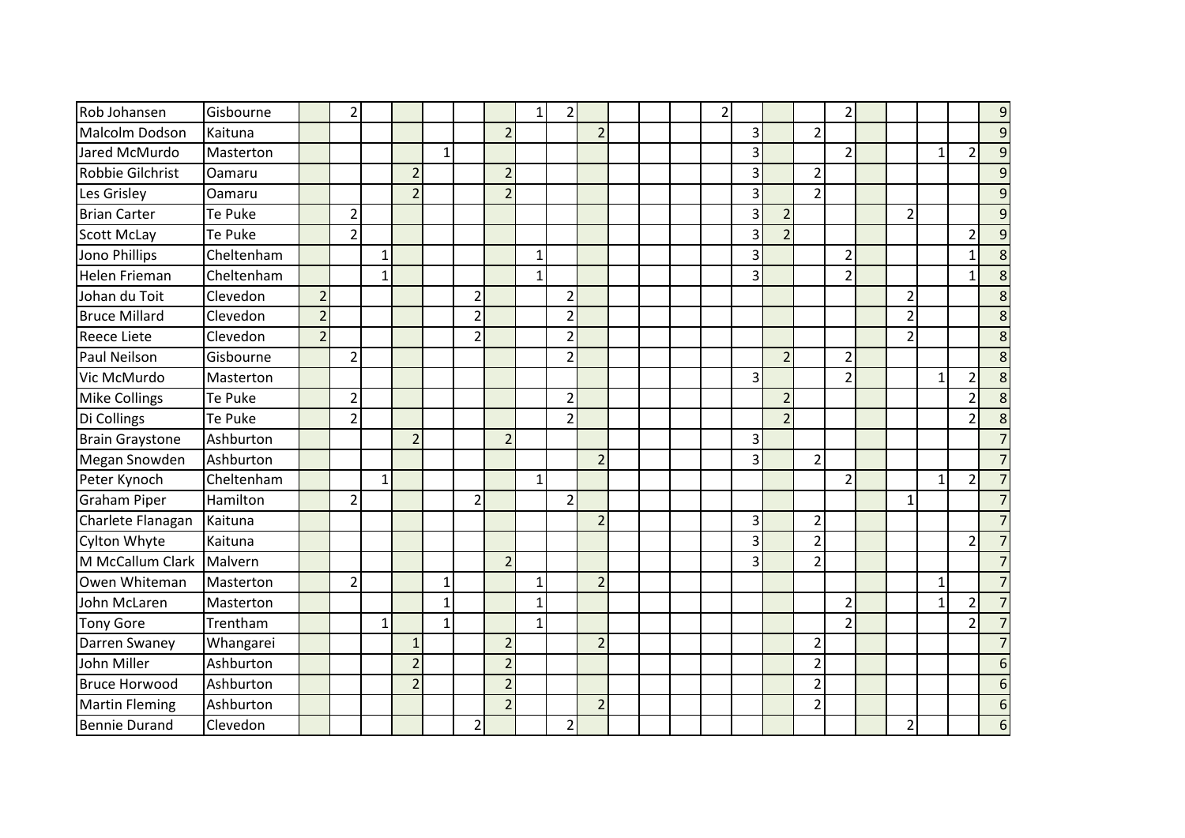| Rob Johansen           | Gisbourne  |                | $\overline{2}$ |              |                |              |                |                | 1            | 2              |                |  | 2 |                |                |                | 2              |                |              |                | 9               |
|------------------------|------------|----------------|----------------|--------------|----------------|--------------|----------------|----------------|--------------|----------------|----------------|--|---|----------------|----------------|----------------|----------------|----------------|--------------|----------------|-----------------|
| Malcolm Dodson         | Kaituna    |                |                |              |                |              |                | $\overline{2}$ |              |                | $\overline{2}$ |  |   | 3              |                | $\overline{2}$ |                |                |              |                | $\overline{9}$  |
| Jared McMurdo          | Masterton  |                |                |              |                | $\mathbf{1}$ |                |                |              |                |                |  |   | 3              |                |                | $\overline{2}$ |                | $\mathbf{1}$ | 2              | $\overline{9}$  |
| Robbie Gilchrist       | Oamaru     |                |                |              | $\overline{2}$ |              |                | $\overline{2}$ |              |                |                |  |   | 3              |                | $\overline{2}$ |                |                |              |                | $\overline{9}$  |
| Les Grisley            | Oamaru     |                |                |              | $\overline{2}$ |              |                | $\overline{2}$ |              |                |                |  |   | 3              |                | $\overline{2}$ |                |                |              |                | 9               |
| <b>Brian Carter</b>    | Te Puke    |                | $\overline{2}$ |              |                |              |                |                |              |                |                |  |   | $\overline{3}$ | $\overline{2}$ |                |                | 2              |              |                | $\overline{9}$  |
| <b>Scott McLay</b>     | Te Puke    |                | $\overline{2}$ |              |                |              |                |                |              |                |                |  |   | 3              | $\overline{2}$ |                |                |                |              | っ              | $\overline{9}$  |
| Jono Phillips          | Cheltenham |                |                | $\mathbf 1$  |                |              |                |                | $\mathbf{1}$ |                |                |  |   | 3              |                |                | $\overline{2}$ |                |              | $\mathbf{1}$   | 8               |
| Helen Frieman          | Cheltenham |                |                | 1            |                |              |                |                | $\mathbf{1}$ |                |                |  |   | 3              |                |                | $\overline{2}$ |                |              | 1              | 8               |
| Johan du Toit          | Clevedon   | $\overline{2}$ |                |              |                |              | $\overline{2}$ |                |              | $\overline{2}$ |                |  |   |                |                |                |                | $\overline{2}$ |              |                | 8               |
| <b>Bruce Millard</b>   | Clevedon   | $\overline{2}$ |                |              |                |              | $\overline{2}$ |                |              | $\overline{2}$ |                |  |   |                |                |                |                |                |              |                | 8               |
| <b>Reece Liete</b>     | Clevedon   | 2 <sup>1</sup> |                |              |                |              | $\overline{2}$ |                |              | $\overline{2}$ |                |  |   |                |                |                |                | $\overline{2}$ |              |                | 8               |
| Paul Neilson           | Gisbourne  |                | $\overline{2}$ |              |                |              |                |                |              | $\overline{2}$ |                |  |   |                | $\overline{2}$ |                | $\overline{2}$ |                |              |                | 8               |
| Vic McMurdo            | Masterton  |                |                |              |                |              |                |                |              |                |                |  |   | 3              |                |                | $\overline{2}$ |                | 1            | 2              | 8               |
| <b>Mike Collings</b>   | Te Puke    |                | $\overline{2}$ |              |                |              |                |                |              | $\overline{2}$ |                |  |   |                | $\overline{2}$ |                |                |                |              | 2              | 8               |
| Di Collings            | Te Puke    |                | $\overline{2}$ |              |                |              |                |                |              | $\overline{2}$ |                |  |   |                | $\overline{2}$ |                |                |                |              | $\overline{2}$ | 8               |
| <b>Brain Graystone</b> | Ashburton  |                |                |              | $\overline{2}$ |              |                | $\overline{2}$ |              |                |                |  |   | 3              |                |                |                |                |              |                | $\overline{7}$  |
| Megan Snowden          | Ashburton  |                |                |              |                |              |                |                |              |                | $\overline{2}$ |  |   | 3              |                | $\overline{2}$ |                |                |              |                | $\overline{7}$  |
| Peter Kynoch           | Cheltenham |                |                | $\mathbf{1}$ |                |              |                |                | $\mathbf{1}$ |                |                |  |   |                |                |                | $\overline{2}$ |                | $\mathbf{1}$ | $\overline{2}$ | $\overline{7}$  |
| <b>Graham Piper</b>    | Hamilton   |                | $\overline{2}$ |              |                |              | $\overline{2}$ |                |              | $\overline{2}$ |                |  |   |                |                |                |                |                |              |                | $\overline{7}$  |
| Charlete Flanagan      | Kaituna    |                |                |              |                |              |                |                |              |                | $\overline{2}$ |  |   | 3              |                | $\overline{2}$ |                |                |              |                | $\overline{7}$  |
| Cylton Whyte           | Kaituna    |                |                |              |                |              |                |                |              |                |                |  |   | 3              |                | $\overline{2}$ |                |                |              | $\overline{2}$ | $\overline{7}$  |
| M McCallum Clark       | Malvern    |                |                |              |                |              |                | $\overline{2}$ |              |                |                |  |   | 3              |                | $\overline{2}$ |                |                |              |                | $\overline{7}$  |
| Owen Whiteman          | Masterton  |                | $\overline{2}$ |              |                | $\mathbf{1}$ |                |                | $\mathbf{1}$ |                | $\overline{2}$ |  |   |                |                |                |                |                | $\mathbf{1}$ |                | $\overline{7}$  |
| John McLaren           | Masterton  |                |                |              |                |              |                |                | $\mathbf{1}$ |                |                |  |   |                |                |                | $\overline{2}$ |                | $\mathbf{1}$ | 2              | $\overline{7}$  |
| <b>Tony Gore</b>       | Trentham   |                |                | $\mathbf{1}$ |                | $\mathbf{1}$ |                |                | $\mathbf{1}$ |                |                |  |   |                |                |                | $\overline{2}$ |                |              | $\overline{2}$ | $\overline{7}$  |
| Darren Swaney          | Whangarei  |                |                |              | 1              |              |                | $\overline{2}$ |              |                | $\overline{2}$ |  |   |                |                | $\overline{2}$ |                |                |              |                | $\overline{7}$  |
| John Miller            | Ashburton  |                |                |              | $\overline{2}$ |              |                | $\overline{2}$ |              |                |                |  |   |                |                | $\overline{2}$ |                |                |              |                | 6               |
| <b>Bruce Horwood</b>   | Ashburton  |                |                |              | $\overline{2}$ |              |                | $\overline{2}$ |              |                |                |  |   |                |                | $\overline{2}$ |                |                |              |                | $6\phantom{1}6$ |
| <b>Martin Fleming</b>  | Ashburton  |                |                |              |                |              |                | $\overline{2}$ |              |                | $\overline{2}$ |  |   |                |                | $\overline{2}$ |                |                |              |                | 6               |
| <b>Bennie Durand</b>   | Clevedon   |                |                |              |                |              | $\overline{2}$ |                |              | $\overline{2}$ |                |  |   |                |                |                |                | 2              |              |                | 6               |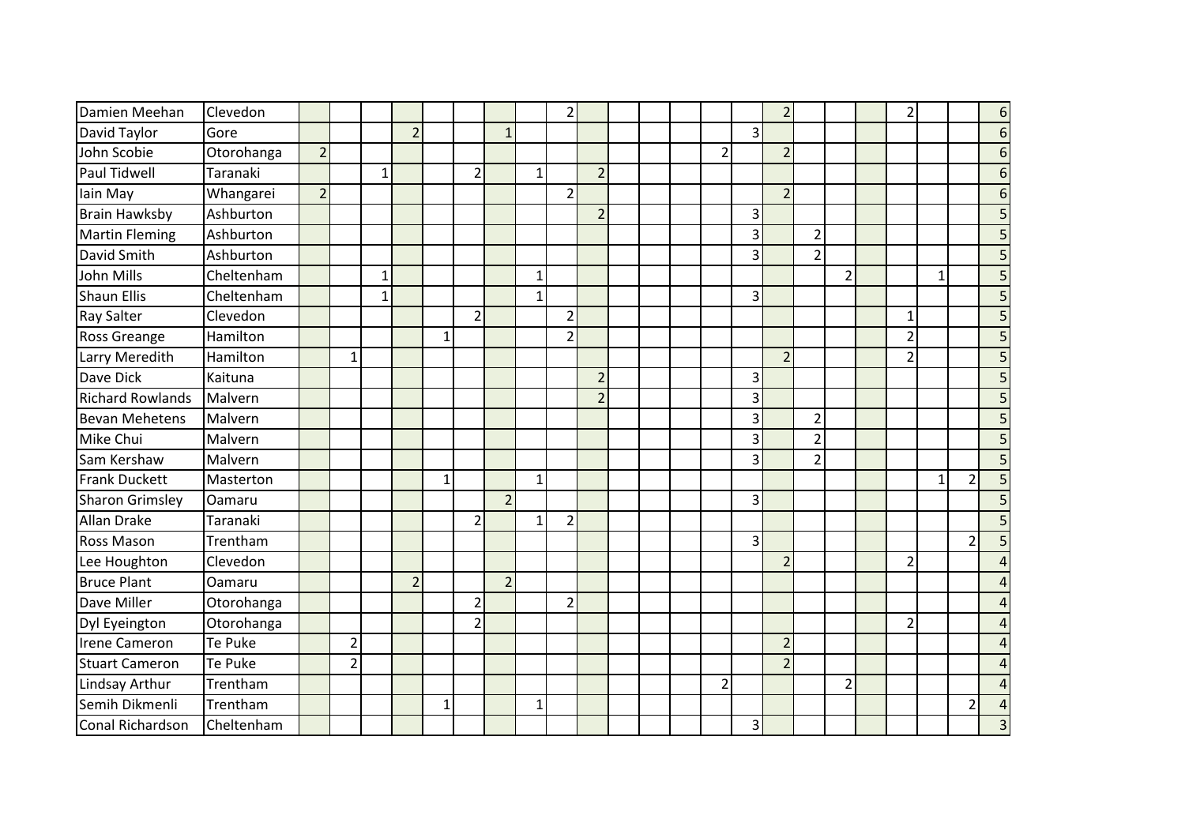| Damien Meehan           | Clevedon   |                |                |              |                |              |                |                |              | $\overline{2}$ |                |  |                |                | $\overline{2}$ |                |                | 2              |              |                | $6\phantom{1}6$ |
|-------------------------|------------|----------------|----------------|--------------|----------------|--------------|----------------|----------------|--------------|----------------|----------------|--|----------------|----------------|----------------|----------------|----------------|----------------|--------------|----------------|-----------------|
| David Taylor            | Gore       |                |                |              | $\overline{2}$ |              |                | $\mathbf{1}$   |              |                |                |  |                | $\overline{3}$ |                |                |                |                |              |                | 6               |
| John Scobie             | Otorohanga | $\overline{2}$ |                |              |                |              |                |                |              |                |                |  | $\overline{2}$ |                | $\overline{2}$ |                |                |                |              |                | $6\phantom{1}6$ |
| Paul Tidwell            | Taranaki   |                |                | $\mathbf{1}$ |                |              | $\overline{2}$ |                | $\mathbf{1}$ |                | $\overline{2}$ |  |                |                |                |                |                |                |              |                | $6\phantom{1}6$ |
| lain May                | Whangarei  | $\overline{2}$ |                |              |                |              |                |                |              | $\overline{2}$ |                |  |                |                | $\overline{2}$ |                |                |                |              |                | $6\phantom{1}6$ |
| <b>Brain Hawksby</b>    | Ashburton  |                |                |              |                |              |                |                |              |                | $\overline{2}$ |  |                | 3              |                |                |                |                |              |                | 5               |
| <b>Martin Fleming</b>   | Ashburton  |                |                |              |                |              |                |                |              |                |                |  |                | $\overline{3}$ |                | $\overline{2}$ |                |                |              |                | 5               |
| David Smith             | Ashburton  |                |                |              |                |              |                |                |              |                |                |  |                | 3              |                | $\overline{2}$ |                |                |              |                | 5               |
| John Mills              | Cheltenham |                |                | $\mathbf{1}$ |                |              |                |                | $\mathbf{1}$ |                |                |  |                |                |                |                | $\overline{2}$ |                | $\mathbf{1}$ |                | 5               |
| <b>Shaun Ellis</b>      | Cheltenham |                |                | $\mathbf{1}$ |                |              |                |                | $\mathbf{1}$ |                |                |  |                | $\overline{3}$ |                |                |                |                |              |                | 5               |
| <b>Ray Salter</b>       | Clevedon   |                |                |              |                |              | $\overline{2}$ |                |              | $\overline{2}$ |                |  |                |                |                |                |                | 1              |              |                | 5               |
| <b>Ross Greange</b>     | Hamilton   |                |                |              |                | $\mathbf{1}$ |                |                |              | $\overline{2}$ |                |  |                |                |                |                |                | $\overline{2}$ |              |                | 5               |
| Larry Meredith          | Hamilton   |                | $1\vert$       |              |                |              |                |                |              |                |                |  |                |                | $\overline{2}$ |                |                | $\mathcal{P}$  |              |                | 5               |
| Dave Dick               | Kaituna    |                |                |              |                |              |                |                |              |                | $\overline{2}$ |  |                | 3              |                |                |                |                |              |                | 5               |
| <b>Richard Rowlands</b> | Malvern    |                |                |              |                |              |                |                |              |                | $\overline{2}$ |  |                | 3              |                |                |                |                |              |                | 5               |
| Bevan Mehetens          | Malvern    |                |                |              |                |              |                |                |              |                |                |  |                | 3              |                | $\overline{2}$ |                |                |              |                | 5               |
| Mike Chui               | Malvern    |                |                |              |                |              |                |                |              |                |                |  |                | 3              |                | $\overline{2}$ |                |                |              |                | 5               |
| Sam Kershaw             | Malvern    |                |                |              |                |              |                |                |              |                |                |  |                | 3              |                | $\overline{2}$ |                |                |              |                | 5               |
| Frank Duckett           | Masterton  |                |                |              |                | $\mathbf{1}$ |                |                | $\mathbf{1}$ |                |                |  |                |                |                |                |                |                | 1            | $\overline{2}$ | 5               |
| <b>Sharon Grimsley</b>  | Oamaru     |                |                |              |                |              |                | $\overline{2}$ |              |                |                |  |                | $\overline{3}$ |                |                |                |                |              |                | 5               |
| Allan Drake             | Taranaki   |                |                |              |                |              | $\overline{2}$ |                | $\mathbf{1}$ | $\overline{2}$ |                |  |                |                |                |                |                |                |              |                | 5               |
| <b>Ross Mason</b>       | Trentham   |                |                |              |                |              |                |                |              |                |                |  |                | $\overline{3}$ |                |                |                |                |              | $\overline{2}$ | 5               |
| Lee Houghton            | Clevedon   |                |                |              |                |              |                |                |              |                |                |  |                |                | $\overline{2}$ |                |                | 2              |              |                | $\overline{4}$  |
| <b>Bruce Plant</b>      | Oamaru     |                |                |              | $\overline{2}$ |              |                | $\overline{2}$ |              |                |                |  |                |                |                |                |                |                |              |                | $\overline{a}$  |
| Dave Miller             | Otorohanga |                |                |              |                |              | $\overline{2}$ |                |              | $\overline{2}$ |                |  |                |                |                |                |                |                |              |                | $\overline{a}$  |
| Dyl Eyeington           | Otorohanga |                |                |              |                |              | $\overline{2}$ |                |              |                |                |  |                |                |                |                |                | 2              |              |                | $\overline{4}$  |
| Irene Cameron           | Te Puke    |                | $\overline{2}$ |              |                |              |                |                |              |                |                |  |                |                | $\overline{2}$ |                |                |                |              |                | $\overline{4}$  |
| <b>Stuart Cameron</b>   | Te Puke    |                | $\overline{2}$ |              |                |              |                |                |              |                |                |  |                |                | $\overline{2}$ |                |                |                |              |                | $\overline{4}$  |
| Lindsay Arthur          | Trentham   |                |                |              |                |              |                |                |              |                |                |  | $\overline{2}$ |                |                |                | $\overline{2}$ |                |              |                | $\overline{4}$  |
| Semih Dikmenli          | Trentham   |                |                |              |                | $\mathbf{1}$ |                |                | 1            |                |                |  |                |                |                |                |                |                |              | $\mathfrak{p}$ | $\overline{a}$  |
| Conal Richardson        | Cheltenham |                |                |              |                |              |                |                |              |                |                |  |                | 3              |                |                |                |                |              |                | $\overline{3}$  |
|                         |            |                |                |              |                |              |                |                |              |                |                |  |                |                |                |                |                |                |              |                |                 |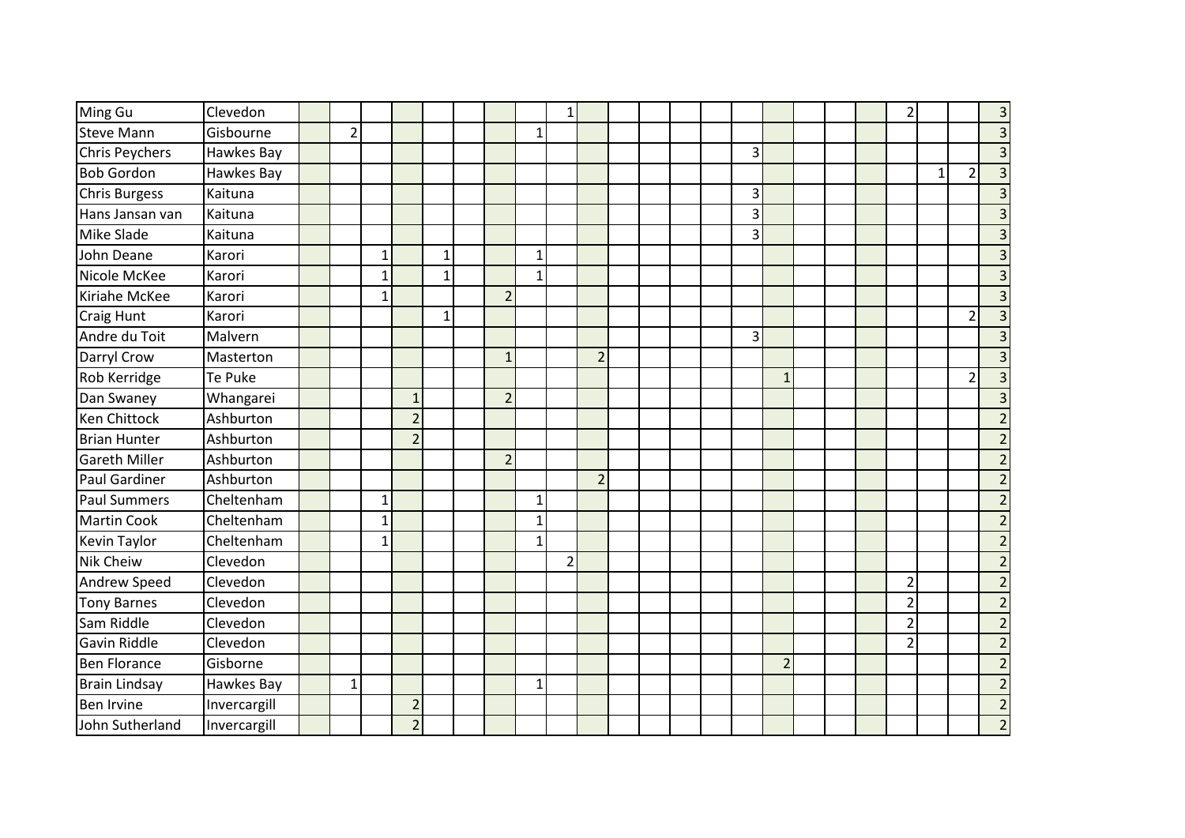| Ming Gu              | Clevedon     |                |              |                |              |                |              | 1              |                |  |  |                |                |  | $\overline{2}$ |          |                | $\overline{3}$          |
|----------------------|--------------|----------------|--------------|----------------|--------------|----------------|--------------|----------------|----------------|--|--|----------------|----------------|--|----------------|----------|----------------|-------------------------|
| <b>Steve Mann</b>    | Gisbourne    | $\overline{2}$ |              |                |              |                | $\mathbf{1}$ |                |                |  |  |                |                |  |                |          |                | $\overline{3}$          |
| Chris Peychers       | Hawkes Bay   |                |              |                |              |                |              |                |                |  |  | 3              |                |  |                |          |                | $\overline{3}$          |
| <b>Bob Gordon</b>    | Hawkes Bay   |                |              |                |              |                |              |                |                |  |  |                |                |  |                | $1\vert$ | $\overline{2}$ | $\overline{\mathbf{3}}$ |
| Chris Burgess        | Kaituna      |                |              |                |              |                |              |                |                |  |  | 3              |                |  |                |          |                | $\overline{\mathbf{3}}$ |
| Hans Jansan van      | Kaituna      |                |              |                |              |                |              |                |                |  |  | $\overline{3}$ |                |  |                |          |                | $\overline{3}$          |
| <b>Mike Slade</b>    | Kaituna      |                |              |                |              |                |              |                |                |  |  | 3              |                |  |                |          |                | $\mathsf{3}$            |
| John Deane           | Karori       |                | $1\vert$     |                | 1            |                | $\mathbf{1}$ |                |                |  |  |                |                |  |                |          |                | $\overline{3}$          |
| Nicole McKee         | Karori       |                | 1            |                | $\mathbf{1}$ |                | $\mathbf{1}$ |                |                |  |  |                |                |  |                |          |                | $\overline{\mathbf{3}}$ |
| Kiriahe McKee        | Karori       |                | 1            |                |              | $\overline{2}$ |              |                |                |  |  |                |                |  |                |          |                | $\overline{\mathbf{3}}$ |
| Craig Hunt           | Karori       |                |              |                | $\mathbf{1}$ |                |              |                |                |  |  |                |                |  |                |          | 2              | $\overline{3}$          |
| Andre du Toit        | Malvern      |                |              |                |              |                |              |                |                |  |  | $\overline{3}$ |                |  |                |          |                | $\overline{\mathbf{3}}$ |
| Darryl Crow          | Masterton    |                |              |                |              | $\mathbf{1}$   |              |                | $\overline{2}$ |  |  |                |                |  |                |          |                | $\overline{\mathbf{3}}$ |
| Rob Kerridge         | Te Puke      |                |              |                |              |                |              |                |                |  |  |                | $\mathbf{1}$   |  |                |          | $\overline{2}$ |                         |
| Dan Swaney           | Whangarei    |                |              | $\mathbf{1}$   |              | $\overline{2}$ |              |                |                |  |  |                |                |  |                |          |                | $\overline{\mathbf{3}}$ |
| Ken Chittock         | Ashburton    |                |              | $\overline{2}$ |              |                |              |                |                |  |  |                |                |  |                |          |                | $\overline{2}$          |
| Brian Hunter         | Ashburton    |                |              | $\overline{2}$ |              |                |              |                |                |  |  |                |                |  |                |          |                | $\overline{2}$          |
| <b>Gareth Miller</b> | Ashburton    |                |              |                |              | $\overline{2}$ |              |                |                |  |  |                |                |  |                |          |                | $\overline{2}$          |
| Paul Gardiner        | Ashburton    |                |              |                |              |                |              |                | $\overline{2}$ |  |  |                |                |  |                |          |                | $\overline{2}$          |
| <b>Paul Summers</b>  | Cheltenham   |                | $\mathbf{1}$ |                |              |                | $\mathbf{1}$ |                |                |  |  |                |                |  |                |          |                | $\overline{2}$          |
| Martin Cook          | Cheltenham   |                | 1            |                |              |                | $\mathbf{1}$ |                |                |  |  |                |                |  |                |          |                | $\overline{2}$          |
| <b>Kevin Taylor</b>  | Cheltenham   |                | $\mathbf{1}$ |                |              |                | $\mathbf{1}$ |                |                |  |  |                |                |  |                |          |                | $\overline{2}$          |
| <b>Nik Cheiw</b>     | Clevedon     |                |              |                |              |                |              | $\overline{2}$ |                |  |  |                |                |  |                |          |                | $\overline{2}$          |
| Andrew Speed         | Clevedon     |                |              |                |              |                |              |                |                |  |  |                |                |  | $\overline{2}$ |          |                | $\overline{2}$          |
| <b>Tony Barnes</b>   | Clevedon     |                |              |                |              |                |              |                |                |  |  |                |                |  | $\overline{2}$ |          |                | $\overline{2}$          |
| Sam Riddle           | Clevedon     |                |              |                |              |                |              |                |                |  |  |                |                |  | 2              |          |                | $\overline{2}$          |
| <b>Gavin Riddle</b>  | Clevedon     |                |              |                |              |                |              |                |                |  |  |                |                |  | 2              |          |                | $\overline{2}$          |
| <b>Ben Florance</b>  | Gisborne     |                |              |                |              |                |              |                |                |  |  |                | $\overline{2}$ |  |                |          |                | $\overline{2}$          |
| <b>Brain Lindsay</b> | Hawkes Bay   | $1\vert$       |              |                |              |                | $\mathbf{1}$ |                |                |  |  |                |                |  |                |          |                | $\overline{2}$          |
| <b>Ben Irvine</b>    | Invercargill |                |              | $\overline{2}$ |              |                |              |                |                |  |  |                |                |  |                |          |                | $\overline{2}$          |
| John Sutherland      | Invercargill |                |              | $\overline{2}$ |              |                |              |                |                |  |  |                |                |  |                |          |                | $\overline{2}$          |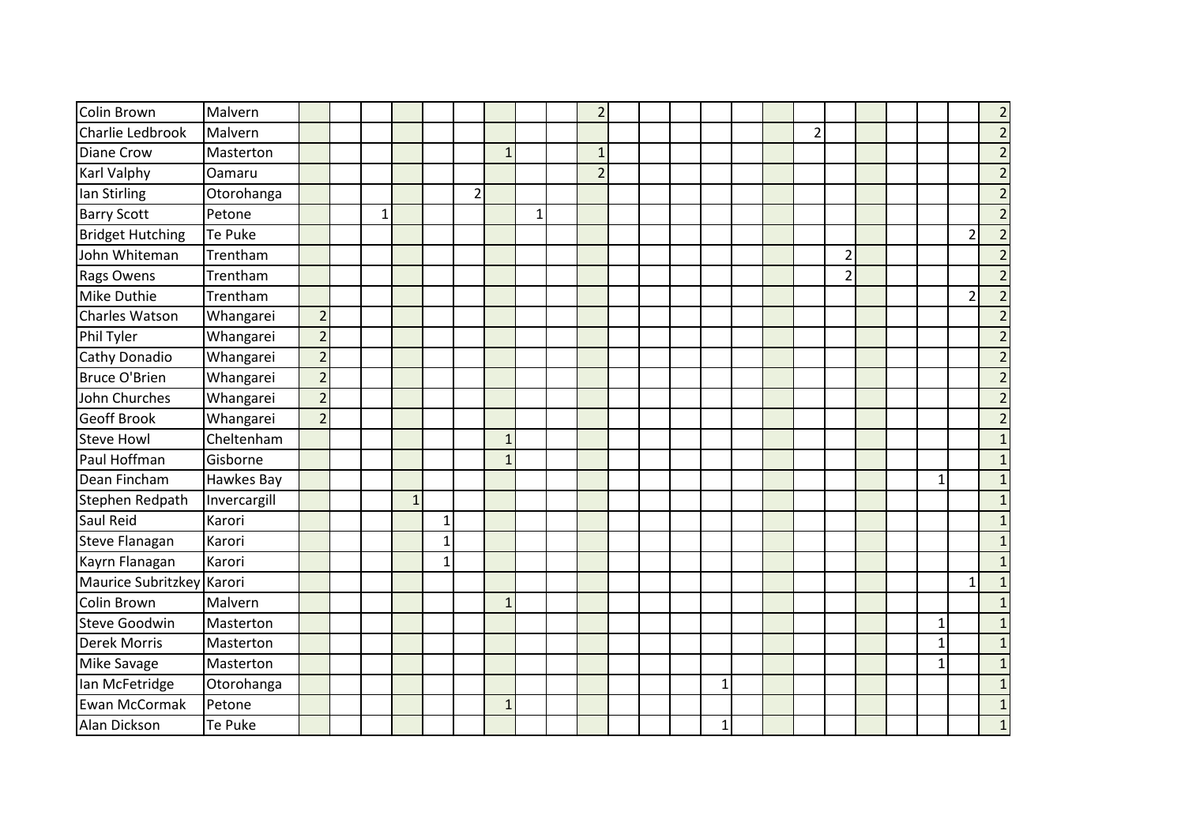| Colin Brown               | Malvern      |                |              |              |              |                |              |              | $\overline{2}$ |  |              |  |                |                |  |              |                | $\overline{2}$ |
|---------------------------|--------------|----------------|--------------|--------------|--------------|----------------|--------------|--------------|----------------|--|--------------|--|----------------|----------------|--|--------------|----------------|----------------|
| Charlie Ledbrook          | Malvern      |                |              |              |              |                |              |              |                |  |              |  | $\overline{2}$ |                |  |              |                | $\overline{2}$ |
| <b>Diane Crow</b>         | Masterton    |                |              |              |              |                | $\mathbf{1}$ |              | $\mathbf{1}$   |  |              |  |                |                |  |              |                | $\overline{2}$ |
| <b>Karl Valphy</b>        | Oamaru       |                |              |              |              |                |              |              | $\overline{2}$ |  |              |  |                |                |  |              |                | $\overline{2}$ |
| lan Stirling              | Otorohanga   |                |              |              |              | $\overline{2}$ |              |              |                |  |              |  |                |                |  |              |                | $\overline{2}$ |
| <b>Barry Scott</b>        | Petone       |                | $\mathbf{1}$ |              |              |                |              | $\mathbf{1}$ |                |  |              |  |                |                |  |              |                | $\overline{2}$ |
| <b>Bridget Hutching</b>   | Te Puke      |                |              |              |              |                |              |              |                |  |              |  |                |                |  |              | $\overline{2}$ | $\overline{2}$ |
| John Whiteman             | Trentham     |                |              |              |              |                |              |              |                |  |              |  |                | $\overline{2}$ |  |              |                | $\overline{2}$ |
| <b>Rags Owens</b>         | Trentham     |                |              |              |              |                |              |              |                |  |              |  |                | $\overline{2}$ |  |              |                | $\overline{2}$ |
| Mike Duthie               | Trentham     |                |              |              |              |                |              |              |                |  |              |  |                |                |  |              | $\overline{2}$ | $\overline{2}$ |
| Charles Watson            | Whangarei    | $\overline{2}$ |              |              |              |                |              |              |                |  |              |  |                |                |  |              |                | $\overline{2}$ |
| Phil Tyler                | Whangarei    | $\overline{2}$ |              |              |              |                |              |              |                |  |              |  |                |                |  |              |                | $\overline{2}$ |
| Cathy Donadio             | Whangarei    | $\overline{2}$ |              |              |              |                |              |              |                |  |              |  |                |                |  |              |                | $\mathbf 2$    |
| Bruce O'Brien             | Whangarei    | $\overline{2}$ |              |              |              |                |              |              |                |  |              |  |                |                |  |              |                | $\overline{2}$ |
| John Churches             | Whangarei    | $\overline{2}$ |              |              |              |                |              |              |                |  |              |  |                |                |  |              |                | $\overline{2}$ |
| <b>Geoff Brook</b>        | Whangarei    | $\overline{2}$ |              |              |              |                |              |              |                |  |              |  |                |                |  |              |                | $\overline{2}$ |
| <b>Steve Howl</b>         | Cheltenham   |                |              |              |              |                | $\mathbf{1}$ |              |                |  |              |  |                |                |  |              |                | $\mathbf{1}$   |
| Paul Hoffman              | Gisborne     |                |              |              |              |                | $\mathbf{1}$ |              |                |  |              |  |                |                |  |              |                | $\mathbf 1$    |
| Dean Fincham              | Hawkes Bay   |                |              |              |              |                |              |              |                |  |              |  |                |                |  | $\mathbf{1}$ |                | $\mathbf 1$    |
| Stephen Redpath           | Invercargill |                |              | $\mathbf{1}$ |              |                |              |              |                |  |              |  |                |                |  |              |                | $\mathbf{1}$   |
| Saul Reid                 | Karori       |                |              |              | $\mathbf{1}$ |                |              |              |                |  |              |  |                |                |  |              |                | $\mathbf 1$    |
| <b>Steve Flanagan</b>     | Karori       |                |              |              | $\mathbf{1}$ |                |              |              |                |  |              |  |                |                |  |              |                | $1\,$          |
| Kayrn Flanagan            | Karori       |                |              |              | $\mathbf 1$  |                |              |              |                |  |              |  |                |                |  |              |                | $\mathbf{1}$   |
| Maurice Subritzkey Karori |              |                |              |              |              |                |              |              |                |  |              |  |                |                |  |              | 1              | $\mathbf 1$    |
| Colin Brown               | Malvern      |                |              |              |              |                | $\mathbf{1}$ |              |                |  |              |  |                |                |  |              |                | $\mathbf{1}$   |
| <b>Steve Goodwin</b>      | Masterton    |                |              |              |              |                |              |              |                |  |              |  |                |                |  | 1            |                | $\mathbf{1}$   |
| <b>Derek Morris</b>       | Masterton    |                |              |              |              |                |              |              |                |  |              |  |                |                |  | $\mathbf{1}$ |                | $\mathbf{1}$   |
| Mike Savage               | Masterton    |                |              |              |              |                |              |              |                |  |              |  |                |                |  | 1            |                | $\mathbf 1$    |
| Ian McFetridge            | Otorohanga   |                |              |              |              |                |              |              |                |  | $\mathbf{1}$ |  |                |                |  |              |                | $\mathbf 1$    |
| Ewan McCormak             | Petone       |                |              |              |              |                | $\mathbf{1}$ |              |                |  |              |  |                |                |  |              |                | $\mathbf{1}$   |
| Alan Dickson              | Te Puke      |                |              |              |              |                |              |              |                |  | 1            |  |                |                |  |              |                | $\mathbf{1}$   |
|                           |              |                |              |              |              |                |              |              |                |  |              |  |                |                |  |              |                |                |